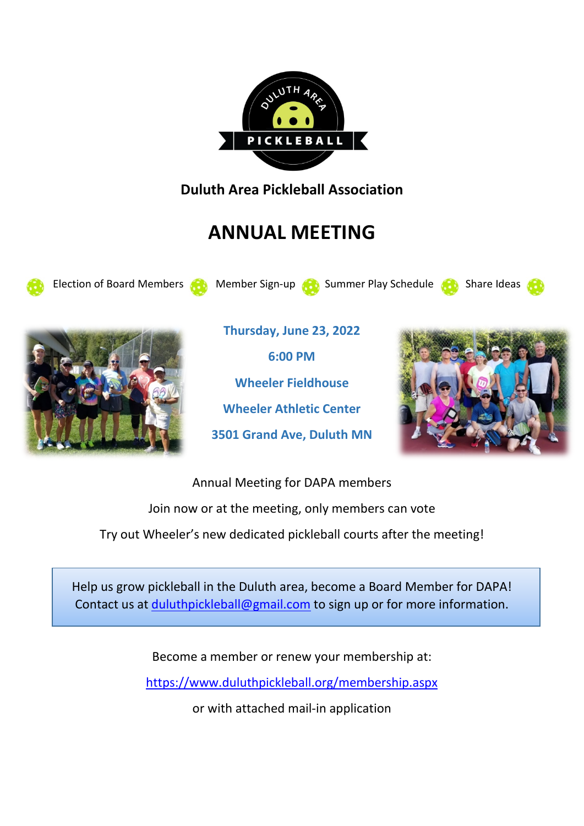

**Duluth Area Pickleball Association**

# **ANNUAL MEETING**

Election of Board Members **Manufacture Sign-up Constitution** Summer Play Schedule Constants Indiana Share Ideas





**Thursday, June 23, 2022 6:00 PM Wheeler Fieldhouse Wheeler Athletic Center 3501 Grand Ave, Duluth MN**



Annual Meeting for DAPA members Join now or at the meeting, only members can vote Try out Wheeler's new dedicated pickleball courts after the meeting!

Help us grow pickleball in the Duluth area, become a Board Member for DAPA! Contact us at [duluthpickleball@gmail.com](mailto:duluthpickleball@gmail.com) to sign up or for more information.

Become a member or renew your membership at:

<https://www.duluthpickleball.org/membership.aspx>

or with attached mail-in application